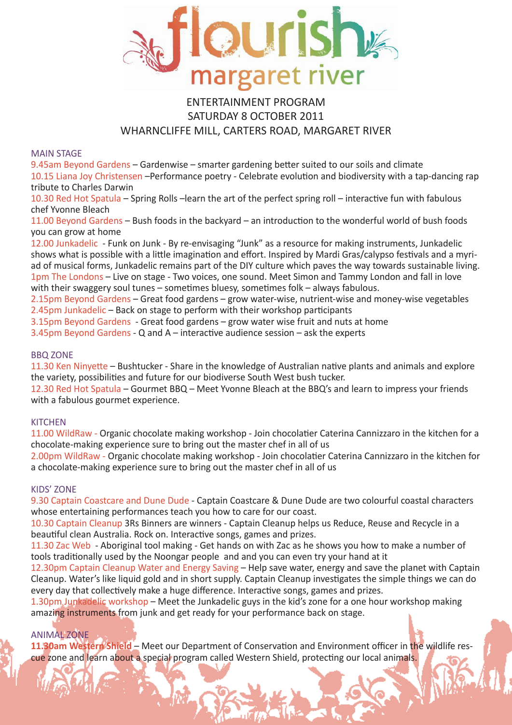

## ENTERTAINMENT PROGRAM SATURDAY 8 OCTOBER 2011 WHARNCLIFFE MILL, CARTERS ROAD, MARGARET RIVER

#### MAIN STAGE

9.45am Beyond Gardens – Gardenwise – smarter gardening better suited to our soils and climate 10.15 Liana Joy Christensen –Performance poetry - Celebrate evolution and biodiversity with a tap-dancing rap tribute to Charles Darwin

10.30 Red Hot Spatula – Spring Rolls –learn the art of the perfect spring roll – interactive fun with fabulous chef Yvonne Bleach

11.00 Beyond Gardens – Bush foods in the backyard – an introduction to the wonderful world of bush foods you can grow at home

12.00 Junkadelic - Funk on Junk - By re-envisaging "Junk" as a resource for making instruments, Junkadelic shows what is possible with a little imagination and effort. Inspired by Mardi Gras/calypso festivals and a myriad of musical forms, Junkadelic remains part of the DIY culture which paves the way towards sustainable living. 1pm The Londons – Live on stage - Two voices, one sound. Meet Simon and Tammy London and fall in love with their swaggery soul tunes – sometimes bluesy, sometimes folk – always fabulous.

2.15pm Beyond Gardens – Great food gardens – grow water-wise, nutrient-wise and money-wise vegetables 2.45pm Junkadelic – Back on stage to perform with their workshop participants

3.15pm Beyond Gardens - Great food gardens – grow water wise fruit and nuts at home

3.45pm Beyond Gardens - Q and A – interactive audience session – ask the experts

### BBQ ZONE

11.30 Ken Ninyette – Bushtucker - Share in the knowledge of Australian native plants and animals and explore the variety, possibilities and future for our biodiverse South West bush tucker.

12.30 Red Hot Spatula – Gourmet BBQ – Meet Yvonne Bleach at the BBQ's and learn to impress your friends with a fabulous gourmet experience.

### **KITCHEN**

11.00 WildRaw - Organic chocolate making workshop - Join chocolatier Caterina Cannizzaro in the kitchen for a chocolate-making experience sure to bring out the master chef in all of us

2.00pm WildRaw - Organic chocolate making workshop - Join chocolatier Caterina Cannizzaro in the kitchen for a chocolate-making experience sure to bring out the master chef in all of us

#### KIDS' ZONE

9.30 Captain Coastcare and Dune Dude - Captain Coastcare & Dune Dude are two colourful coastal characters whose entertaining performances teach you how to care for our coast.

10.30 Captain Cleanup 3Rs Binners are winners - Captain Cleanup helps us Reduce, Reuse and Recycle in a beautiful clean Australia. Rock on. Interactive songs, games and prizes.

11.30 Zac Web - Aboriginal tool making - Get hands on with Zac as he shows you how to make a number of tools traditionally used by the Noongar people and and you can even try your hand at it

12.30pm Captain Cleanup Water and Energy Saving – Help save water, energy and save the planet with Captain Cleanup. Water's like liquid gold and in short supply. Captain Cleanup investigates the simple things we can do every day that collectively make a huge difference. Interactive songs, games and prizes.

1.30pm Junkadelic workshop – Meet the Junkadelic guys in the kid's zone for a one hour workshop making amazing instruments from junk and get ready for your performance back on stage.

### ANIMAL ZONE

**11.30am Western Shield** – Meet our Department of Conservation and Environment officer in the wildlife rescue zone and learn about a special program called Western Shield, protecting our local animals.